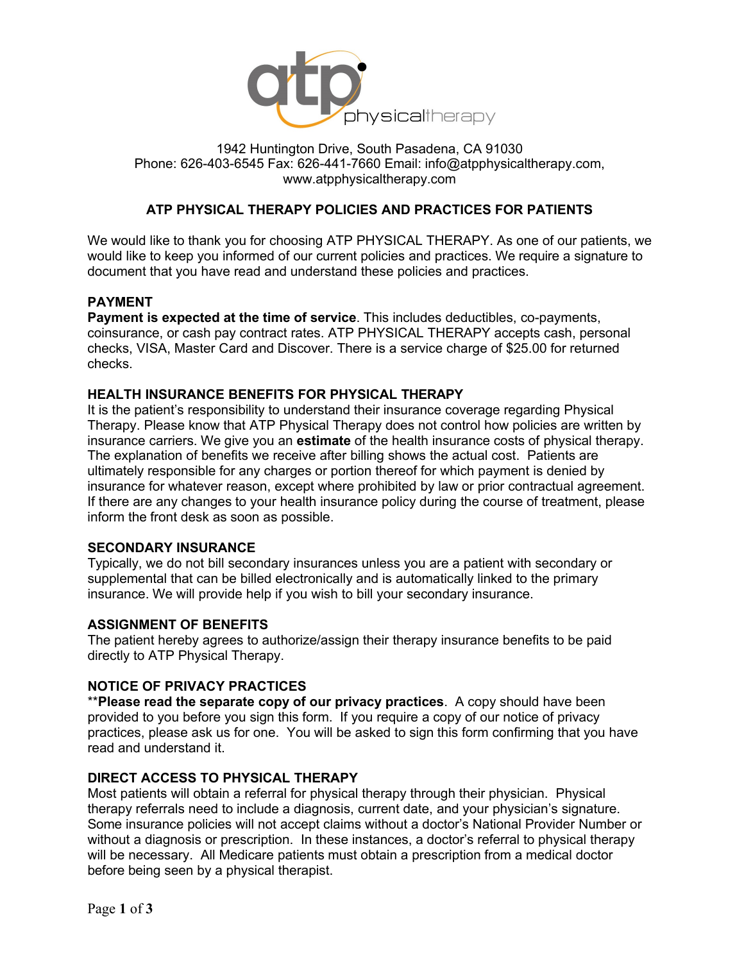

### 1942 Huntington Drive, South Pasadena, CA 91030 Phone: 626-403-6545 Fax: 626-441-7660 Email: [info@atpphysicaltherapy.com,](mailto:atpdesk@aol.com) www.atpphysicaltherapy.com

## **ATP PHYSICAL THERAPY POLICIES AND PRACTICES FOR PATIENTS**

We would like to thank you for choosing ATP PHYSICAL THERAPY. As one of our patients, we would like to keep you informed of our current policies and practices. We require a signature to document that you have read and understand these policies and practices.

#### **PAYMENT**

**Payment is expected at the time of service**. This includes deductibles, co-payments, coinsurance, or cash pay contract rates. ATP PHYSICAL THERAPY accepts cash, personal checks, VISA, Master Card and Discover. There is a service charge of \$25.00 for returned checks.

### **HEALTH INSURANCE BENEFITS FOR PHYSICAL THERAPY**

It is the patient's responsibility to understand their insurance coverage regarding Physical Therapy. Please know that ATP Physical Therapy does not control how policies are written by insurance carriers. We give you an **estimate** of the health insurance costs of physical therapy. The explanation of benefits we receive after billing shows the actual cost. Patients are ultimately responsible for any charges or portion thereof for which payment is denied by insurance for whatever reason, except where prohibited by law or prior contractual agreement. If there are any changes to your health insurance policy during the course of treatment, please inform the front desk as soon as possible.

#### **SECONDARY INSURANCE**

Typically, we do not bill secondary insurances unless you are a patient with secondary or supplemental that can be billed electronically and is automatically linked to the primary insurance. We will provide help if you wish to bill your secondary insurance.

#### **ASSIGNMENT OF BENEFITS**

The patient hereby agrees to authorize/assign their therapy insurance benefits to be paid directly to ATP Physical Therapy.

#### **NOTICE OF PRIVACY PRACTICES**

\*\***Please read the separate copy of our privacy practices**. A copy should have been provided to you before you sign this form. If you require a copy of our notice of privacy practices, please ask us for one. You will be asked to sign this form confirming that you have read and understand it.

#### **DIRECT ACCESS TO PHYSICAL THERAPY**

Most patients will obtain a referral for physical therapy through their physician. Physical therapy referrals need to include a diagnosis, current date, and your physician's signature. Some insurance policies will not accept claims without a doctor's National Provider Number or without a diagnosis or prescription. In these instances, a doctor's referral to physical therapy will be necessary. All Medicare patients must obtain a prescription from a medical doctor before being seen by a physical therapist.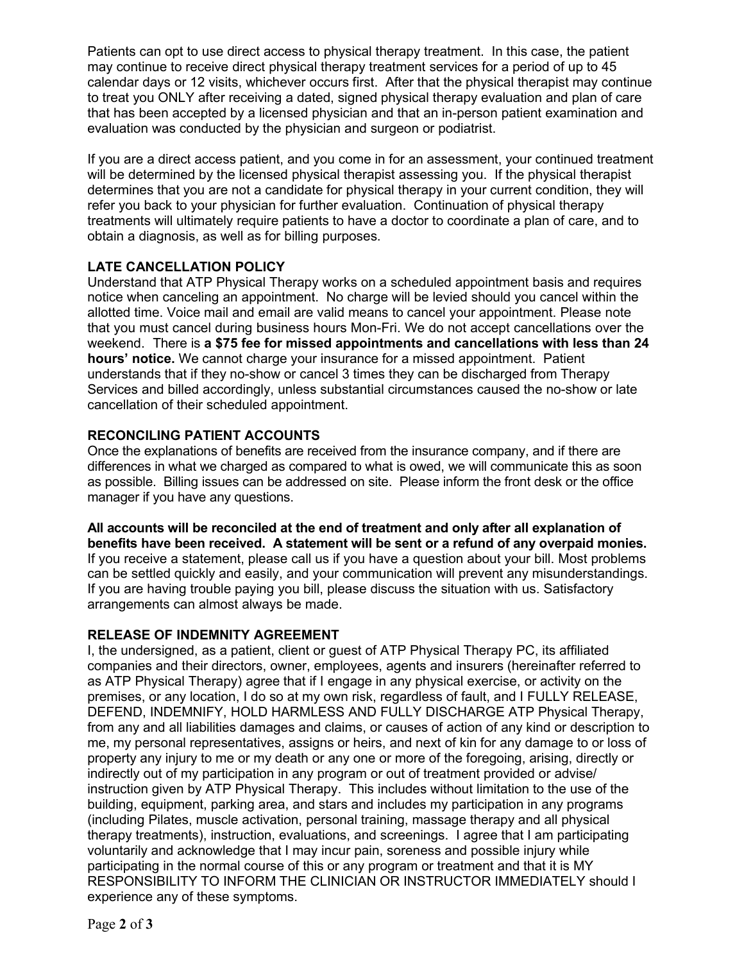Patients can opt to use direct access to physical therapy treatment. In this case, the patient may continue to receive direct physical therapy treatment services for a period of up to 45 calendar days or 12 visits, whichever occurs first. After that the physical therapist may continue to treat you ONLY after receiving a dated, signed physical therapy evaluation and plan of care that has been accepted by a licensed physician and that an in-person patient examination and evaluation was conducted by the physician and surgeon or podiatrist.

If you are a direct access patient, and you come in for an assessment, your continued treatment will be determined by the licensed physical therapist assessing you. If the physical therapist determines that you are not a candidate for physical therapy in your current condition, they will refer you back to your physician for further evaluation. Continuation of physical therapy treatments will ultimately require patients to have a doctor to coordinate a plan of care, and to obtain a diagnosis, as well as for billing purposes.

## **LATE CANCELLATION POLICY**

Understand that ATP Physical Therapy works on a scheduled appointment basis and requires notice when canceling an appointment. No charge will be levied should you cancel within the allotted time. Voice mail and email are valid means to cancel your appointment. Please note that you must cancel during business hours Mon-Fri. We do not accept cancellations over the weekend. There is **a \$75 fee for missed appointments and cancellations with less than 24 hours' notice.** We cannot charge your insurance for a missed appointment. Patient understands that if they no-show or cancel 3 times they can be discharged from Therapy Services and billed accordingly, unless substantial circumstances caused the no-show or late cancellation of their scheduled appointment.

## **RECONCILING PATIENT ACCOUNTS**

Once the explanations of benefits are received from the insurance company, and if there are differences in what we charged as compared to what is owed, we will communicate this as soon as possible. Billing issues can be addressed on site. Please inform the front desk or the office manager if you have any questions.

**All accounts will be reconciled at the end of treatment and only after all explanation of benefits have been received. A statement will be sent or a refund of any overpaid monies.** If you receive a statement, please call us if you have a question about your bill. Most problems can be settled quickly and easily, and your communication will prevent any misunderstandings. If you are having trouble paying you bill, please discuss the situation with us. Satisfactory arrangements can almost always be made.

# **RELEASE OF INDEMNITY AGREEMENT**

I, the undersigned, as a patient, client or guest of ATP Physical Therapy PC, its affiliated companies and their directors, owner, employees, agents and insurers (hereinafter referred to as ATP Physical Therapy) agree that if I engage in any physical exercise, or activity on the premises, or any location, I do so at my own risk, regardless of fault, and I FULLY RELEASE, DEFEND, INDEMNIFY, HOLD HARMLESS AND FULLY DISCHARGE ATP Physical Therapy, from any and all liabilities damages and claims, or causes of action of any kind or description to me, my personal representatives, assigns or heirs, and next of kin for any damage to or loss of property any injury to me or my death or any one or more of the foregoing, arising, directly or indirectly out of my participation in any program or out of treatment provided or advise/ instruction given by ATP Physical Therapy. This includes without limitation to the use of the building, equipment, parking area, and stars and includes my participation in any programs (including Pilates, muscle activation, personal training, massage therapy and all physical therapy treatments), instruction, evaluations, and screenings. I agree that I am participating voluntarily and acknowledge that I may incur pain, soreness and possible injury while participating in the normal course of this or any program or treatment and that it is MY RESPONSIBILITY TO INFORM THE CLINICIAN OR INSTRUCTOR IMMEDIATELY should I experience any of these symptoms.